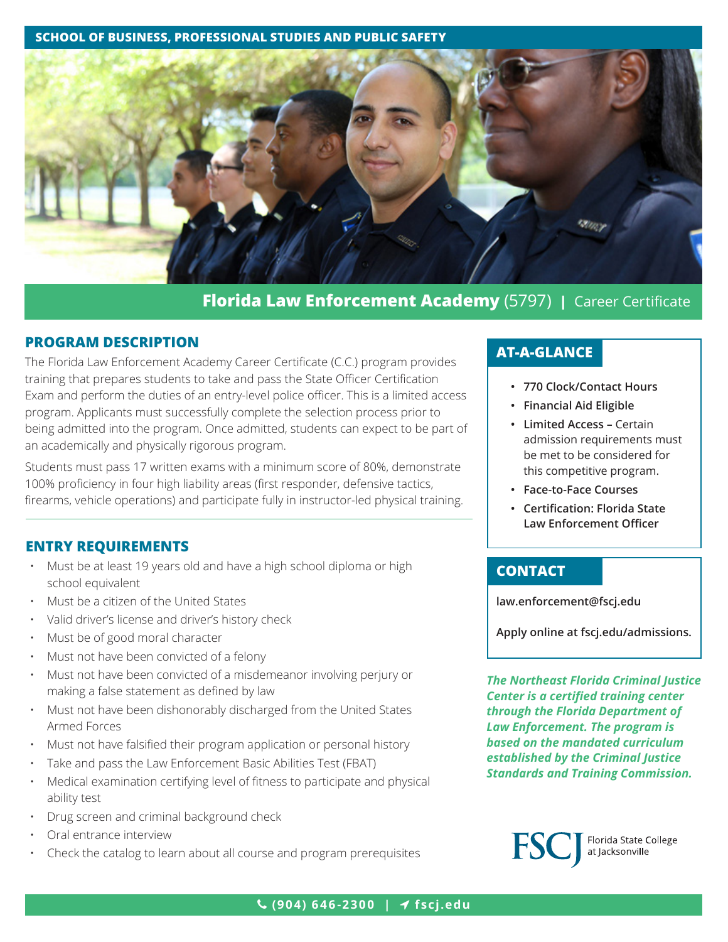**SCHOOL OF BUSINESS, PROFESSIONAL STUDIES AND PUBLIC SAFETY**



# **Florida Law Enforcement Academy** (5797) **|** Career Certificate

#### **PROGRAM DESCRIPTION**

The Florida Law Enforcement Academy Career Certificate (C.C.) program provides training that prepares students to take and pass the State Officer Certification Exam and perform the duties of an entry-level police officer. This is a limited access program. Applicants must successfully complete the selection process prior to being admitted into the program. Once admitted, students can expect to be part of an academically and physically rigorous program.

Students must pass 17 written exams with a minimum score of 80%, demonstrate 100% proficiency in four high liability areas (first responder, defensive tactics, firearms, vehicle operations) and participate fully in instructor-led physical training.

#### **ENTRY REQUIREMENTS**

- Must be at least 19 years old and have a high school diploma or high school equivalent
- Must be a citizen of the United States
- Valid driver's license and driver's history check
- Must be of good moral character
- Must not have been convicted of a felony
- Must not have been convicted of a misdemeanor involving perjury or making a false statement as defined by law
- Must not have been dishonorably discharged from the United States Armed Forces
- Must not have falsified their program application or personal history
- Take and pass the Law Enforcement Basic Abilities Test (FBAT)
- Medical examination certifying level of fitness to participate and physical ability test
- Drug screen and criminal background check
- Oral entrance interview
- Check the catalog to learn about all course and program prerequisites

# **AT-A-GLANCE**

- **• 770 Clock/Contact Hours**
- **• Financial Aid Eligible**
- **• Limited Access** Certain admission requirements must be met to be considered for this competitive program.
- **• Face-to-Face Courses**
- **• Certification: Florida State Law Enforcement Officer**

### **CONTACT**

**[law.enforcement@fscj.edu](mailto:law.enforcement%40fscj.edu?subject=)**

**Apply online at [fscj.edu/admissions](http://www.fscj.edu/admissions).**

*The Northeast Florida Criminal Justice Center is a certified training center through the Florida Department of Law Enforcement. The program is based on the mandated curriculum established by the Criminal Justice Standards and Training Commission.*